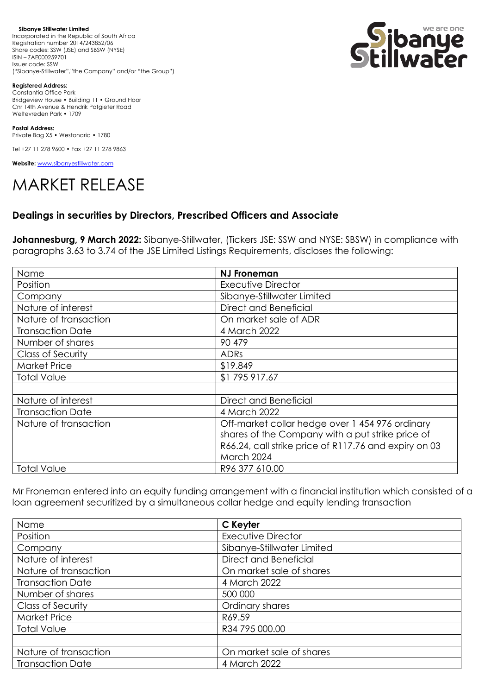**Sibanye Stillwater Limited**  Incorporated in the Republic of South Africa Registration number 2014/243852/06 Share codes: SSW (JSE) and SBSW (NYSE) ISIN – ZAE000259701 Issuer code: SSW ("Sibanye-Stillwater","the Company" and/or "the Group")



**Registered Address:**

Constantia Office Park Bridgeview House • Building 11 • Ground Floor Cnr 14th Avenue & Hendrik Potgieter Road Weltevreden Park • 1709

**Postal Address:** Private Bag X5 • Westonaria • 1780

Tel +27 11 278 9600 • Fax +27 11 278 9863

**Website:** [www.sibanyestillwater.com](http://www.sibanyestillwater.com/)

## MARKET RELEASE

## **Dealings in securities by Directors, Prescribed Officers and Associate**

**Johannesburg, 9 March 2022:** Sibanye-Stillwater, (Tickers JSE: SSW and NYSE: SBSW) in compliance with paragraphs 3.63 to 3.74 of the JSE Limited Listings Requirements, discloses the following:

| Name                     | <b>NJ Froneman</b>                                    |
|--------------------------|-------------------------------------------------------|
| Position                 | <b>Executive Director</b>                             |
| Company                  | Sibanye-Stillwater Limited                            |
| Nature of interest       | Direct and Beneficial                                 |
| Nature of transaction    | On market sale of ADR                                 |
| <b>Transaction Date</b>  | 4 March 2022                                          |
| Number of shares         | 90 479                                                |
| <b>Class of Security</b> | <b>ADRs</b>                                           |
| <b>Market Price</b>      | \$19.849                                              |
| <b>Total Value</b>       | \$1795917.67                                          |
|                          |                                                       |
| Nature of interest       | Direct and Beneficial                                 |
| <b>Transaction Date</b>  | 4 March 2022                                          |
| Nature of transaction    | Off-market collar hedge over 1 454 976 ordinary       |
|                          | shares of the Company with a put strike price of      |
|                          | R66.24, call strike price of R117.76 and expiry on 03 |
|                          | March 2024                                            |
| <b>Total Value</b>       | R96 377 610.00                                        |

Mr Froneman entered into an equity funding arrangement with a financial institution which consisted of a loan agreement securitized by a simultaneous collar hedge and equity lending transaction

| Name                     | C Keyter                   |
|--------------------------|----------------------------|
| Position                 | <b>Executive Director</b>  |
| Company                  | Sibanye-Stillwater Limited |
| Nature of interest       | Direct and Beneficial      |
| Nature of transaction    | On market sale of shares   |
| <b>Transaction Date</b>  | 4 March 2022               |
| Number of shares         | 500 000                    |
| <b>Class of Security</b> | Ordinary shares            |
| <b>Market Price</b>      | R69.59                     |
| <b>Total Value</b>       | R34 795 000.00             |
|                          |                            |
| Nature of transaction    | On market sale of shares   |
| <b>Transaction Date</b>  | 4 March 2022               |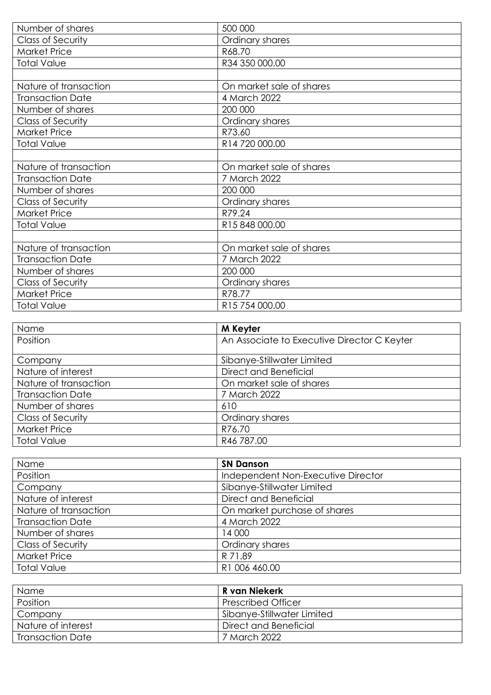| Number of shares         | 500 000                  |
|--------------------------|--------------------------|
| Class of Security        | Ordinary shares          |
| <b>Market Price</b>      | R68.70                   |
| <b>Total Value</b>       | R34 350 000.00           |
|                          |                          |
| Nature of transaction    | On market sale of shares |
| <b>Transaction Date</b>  | 4 March 2022             |
| Number of shares         | 200 000                  |
| <b>Class of Security</b> | Ordinary shares          |
| <b>Market Price</b>      | R73.60                   |
| <b>Total Value</b>       | R14 720 000.00           |
|                          |                          |
| Nature of transaction    | On market sale of shares |
| <b>Transaction Date</b>  | 7 March 2022             |
| Number of shares         | 200 000                  |
| <b>Class of Security</b> | Ordinary shares          |
| <b>Market Price</b>      | R79.24                   |
| <b>Total Value</b>       | R15 848 000.00           |
|                          |                          |
| Nature of transaction    | On market sale of shares |
| <b>Transaction Date</b>  | 7 March 2022             |
| Number of shares         | 200 000                  |
| Class of Security        | Ordinary shares          |
| <b>Market Price</b>      | R78.77                   |
| <b>Total Value</b>       | R15 754 000.00           |

| Name                     | M Keyter                                    |
|--------------------------|---------------------------------------------|
| Position                 | An Associate to Executive Director C Keyter |
| Company                  | Sibanye-Stillwater Limited                  |
| Nature of interest       | Direct and Beneficial                       |
| Nature of transaction    | On market sale of shares                    |
| <b>Transaction Date</b>  | 7 March 2022                                |
| Number of shares         | 610                                         |
| <b>Class of Security</b> | Ordinary shares                             |
| <b>Market Price</b>      | R76.70                                      |
| <b>Total Value</b>       | R46 787.00                                  |

| Name                     | <b>SN Danson</b>                   |
|--------------------------|------------------------------------|
| Position                 | Independent Non-Executive Director |
| Company                  | Sibanye-Stillwater Limited         |
| Nature of interest       | Direct and Beneficial              |
| Nature of transaction    | On market purchase of shares       |
| <b>Transaction Date</b>  | 4 March 2022                       |
| Number of shares         | 14 000                             |
| <b>Class of Security</b> | Ordinary shares                    |
| <b>Market Price</b>      | R 71.89                            |
| <b>Total Value</b>       | R1 006 460.00                      |

| Name                    | R van Niekerk              |
|-------------------------|----------------------------|
| Position                | <b>Prescribed Officer</b>  |
| Company                 | Sibanye-Stillwater Limited |
| Nature of interest      | Direct and Beneficial      |
| <b>Transaction Date</b> | 7 March 2022               |